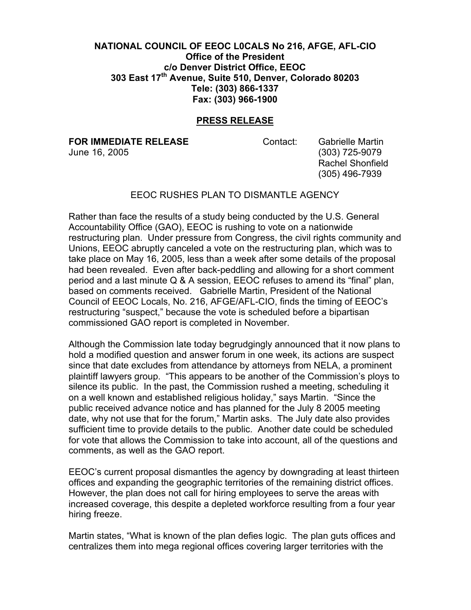## **NATIONAL COUNCIL OF EEOC L0CALS No 216, AFGE, AFL-CIO Office of the President c/o Denver District Office, EEOC 303 East 17th Avenue, Suite 510, Denver, Colorado 80203 Tele: (303) 866-1337 Fax: (303) 966-1900**

## **PRESS RELEASE**

**FOR IMMEDIATE RELEASE Contact:** Gabrielle Martin

June 16, 2005 (303) 725-9079 Rachel Shonfield (305) 496-7939

## EEOC RUSHES PLAN TO DISMANTLE AGENCY

Rather than face the results of a study being conducted by the U.S. General Accountability Office (GAO), EEOC is rushing to vote on a nationwide restructuring plan. Under pressure from Congress, the civil rights community and Unions, EEOC abruptly canceled a vote on the restructuring plan, which was to take place on May 16, 2005, less than a week after some details of the proposal had been revealed. Even after back-peddling and allowing for a short comment period and a last minute Q & A session, EEOC refuses to amend its "final" plan, based on comments received. Gabrielle Martin, President of the National Council of EEOC Locals, No. 216, AFGE/AFL-CIO, finds the timing of EEOC's restructuring "suspect," because the vote is scheduled before a bipartisan commissioned GAO report is completed in November.

Although the Commission late today begrudgingly announced that it now plans to hold a modified question and answer forum in one week, its actions are suspect since that date excludes from attendance by attorneys from NELA, a prominent plaintiff lawyers group. "This appears to be another of the Commission's ploys to silence its public. In the past, the Commission rushed a meeting, scheduling it on a well known and established religious holiday," says Martin. "Since the public received advance notice and has planned for the July 8 2005 meeting date, why not use that for the forum," Martin asks. The July date also provides sufficient time to provide details to the public. Another date could be scheduled for vote that allows the Commission to take into account, all of the questions and comments, as well as the GAO report.

EEOC's current proposal dismantles the agency by downgrading at least thirteen offices and expanding the geographic territories of the remaining district offices. However, the plan does not call for hiring employees to serve the areas with increased coverage, this despite a depleted workforce resulting from a four year hiring freeze.

Martin states, "What is known of the plan defies logic. The plan guts offices and centralizes them into mega regional offices covering larger territories with the